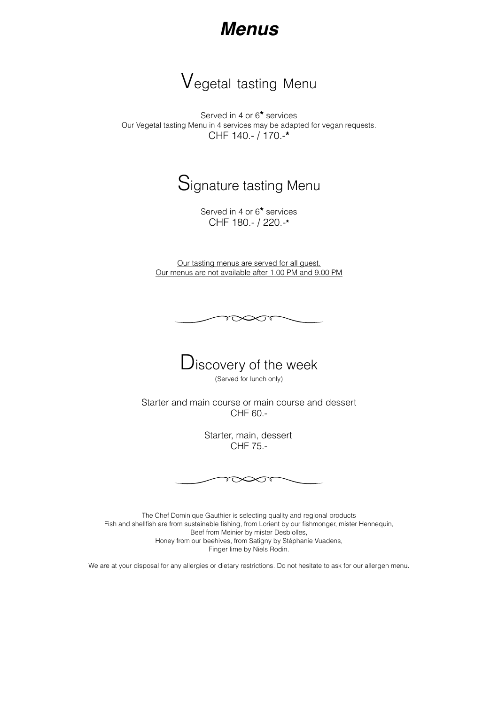#### *Menus*

### Vegetal tasting Menu

Served in 4 or 6**\*** services Our Vegetal tasting Menu in 4 services may be adapted for vegan requests. CHF 140.- / 170.-**\***



Served in 4 or 6**\*** services CHF 180.- / 220.-**\***

Our tasting menus are served for all guest. Our menus are not available after 1.00 PM and 9.00 PM



Discovery of the week (Served for lunch only)

Starter and main course or main course and dessert CHF 60.-

> Starter, main, dessert CHF 75.-



The Chef Dominique Gauthier is selecting quality and regional products Fish and shellfish are from sustainable fishing, from Lorient by our fishmonger, mister Hennequin, Beef from Meinier by mister Desbiolles, Honey from our beehives, from Satigny by Stéphanie Vuadens, Finger lime by Niels Rodin.

We are at your disposal for any allergies or dietary restrictions. Do not hesitate to ask for our allergen menu.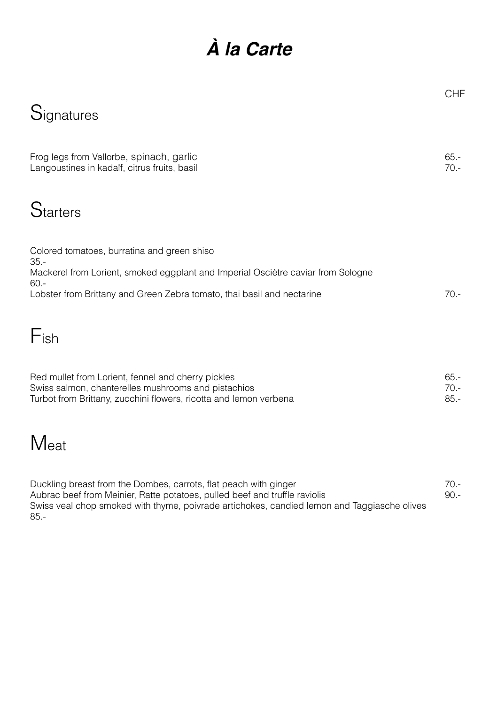## *À la Carte*

| Signatures                                                                                                                                                                                                                     | <b>CHF</b>                 |
|--------------------------------------------------------------------------------------------------------------------------------------------------------------------------------------------------------------------------------|----------------------------|
| Frog legs from Vallorbe, spinach, garlic<br>Langoustines in kadaïf, citrus fruits, basil                                                                                                                                       | $65. -$<br>$70. -$         |
| Starters                                                                                                                                                                                                                       |                            |
| Colored tomatoes, burratina and green shiso<br>$35. -$<br>Mackerel from Lorient, smoked eggplant and Imperial Osciètre caviar from Sologne<br>$60 -$<br>Lobster from Brittany and Green Zebra tomato, thai basil and nectarine | $70 -$                     |
| Fish                                                                                                                                                                                                                           |                            |
| Red mullet from Lorient, fennel and cherry pickles<br>Swiss salmon, chanterelles mushrooms and pistachios<br>Turbot from Brittany, zucchini flowers, ricotta and lemon verbena                                                 | $65 -$<br>$70 -$<br>$85 -$ |
| Meat                                                                                                                                                                                                                           |                            |
| Duckling breast from the Dombes, carrots, flat peach with ginger<br>Aubrac beef from Meinier, Ratte potatoes, pulled beef and truffle raviolis                                                                                 | $70 -$<br>$90. -$          |

Swiss veal chop smoked with thyme, poivrade artichokes, candied lemon and Taggiasche olives 85.-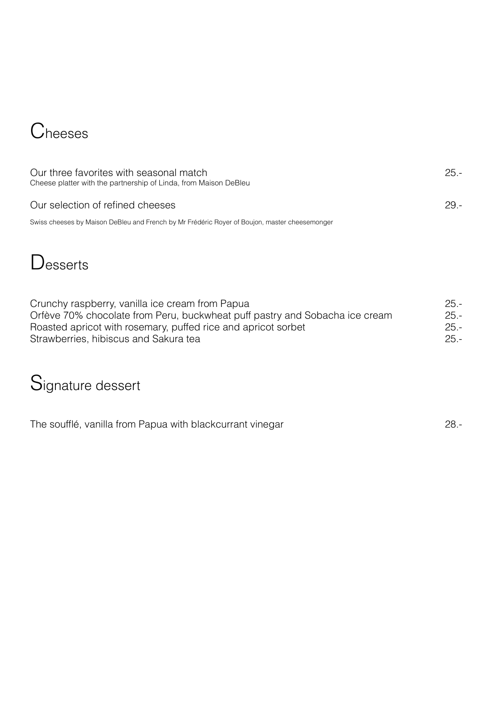### **Cheeses**

| Our three favorites with seasonal match<br>Cheese platter with the partnership of Linda, from Maison DeBleu | $25 -$ |
|-------------------------------------------------------------------------------------------------------------|--------|
| Our selection of refined cheeses                                                                            | $29 -$ |
| Swiss cheeses by Maison DeBleu and French by Mr Frédéric Royer of Boujon, master cheesemonger               |        |



| Crunchy raspberry, vanilla ice cream from Papua                             | $25 -$ |
|-----------------------------------------------------------------------------|--------|
| Orfève 70% chocolate from Peru, buckwheat puff pastry and Sobacha ice cream | $25 -$ |
| Roasted apricot with rosemary, puffed rice and apricot sorbet               | $25 -$ |
| Strawberries, hibiscus and Sakura tea                                       | $25 -$ |

Signature dessert

| The soufflé, vanilla from Papua with blackcurrant vinegar |  |  |  |  |  | $28. -$ |
|-----------------------------------------------------------|--|--|--|--|--|---------|
|-----------------------------------------------------------|--|--|--|--|--|---------|